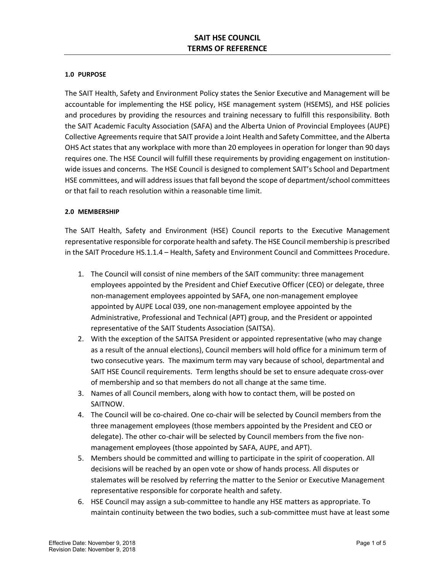## **1.0 PURPOSE**

The SAIT Health, Safety and Environment Policy states the Senior Executive and Management will be accountable for implementing the HSE policy, HSE management system (HSEMS), and HSE policies and procedures by providing the resources and training necessary to fulfill this responsibility. Both the SAIT Academic Faculty Association (SAFA) and the Alberta Union of Provincial Employees (AUPE) Collective Agreements require that SAIT provide a Joint Health and Safety Committee, and the Alberta OHS Act states that any workplace with more than 20 employees in operation for longer than 90 days requires one. The HSE Council will fulfill these requirements by providing engagement on institutionwide issues and concerns. The HSE Council is designed to complement SAIT's School and Department HSE committees, and will address issues that fall beyond the scope of department/school committees or that fail to reach resolution within a reasonable time limit.

# **2.0 MEMBERSHIP**

The SAIT Health, Safety and Environment (HSE) Council reports to the Executive Management representative responsible for corporate health and safety. The HSE Council membership is prescribed in the SAIT Procedure HS.1.1.4 – Health, Safety and Environment Council and Committees Procedure.

- 1. The Council will consist of nine members of the SAIT community: three management employees appointed by the President and Chief Executive Officer (CEO) or delegate, three non-management employees appointed by SAFA, one non-management employee appointed by AUPE Local 039, one non-management employee appointed by the Administrative, Professional and Technical (APT) group, and the President or appointed representative of the SAIT Students Association (SAITSA).
- 2. With the exception of the SAITSA President or appointed representative (who may change as a result of the annual elections), Council members will hold office for a minimum term of two consecutive years. The maximum term may vary because of school, departmental and SAIT HSE Council requirements. Term lengths should be set to ensure adequate cross-over of membership and so that members do not all change at the same time.
- 3. Names of all Council members, along with how to contact them, will be posted on SAITNOW.
- 4. The Council will be co-chaired. One co-chair will be selected by Council members from the three management employees (those members appointed by the President and CEO or delegate). The other co-chair will be selected by Council members from the five nonmanagement employees (those appointed by SAFA, AUPE, and APT).
- 5. Members should be committed and willing to participate in the spirit of cooperation. All decisions will be reached by an open vote or show of hands process. All disputes or stalemates will be resolved by referring the matter to the Senior or Executive Management representative responsible for corporate health and safety.
- 6. HSE Council may assign a sub-committee to handle any HSE matters as appropriate. To maintain continuity between the two bodies, such a sub-committee must have at least some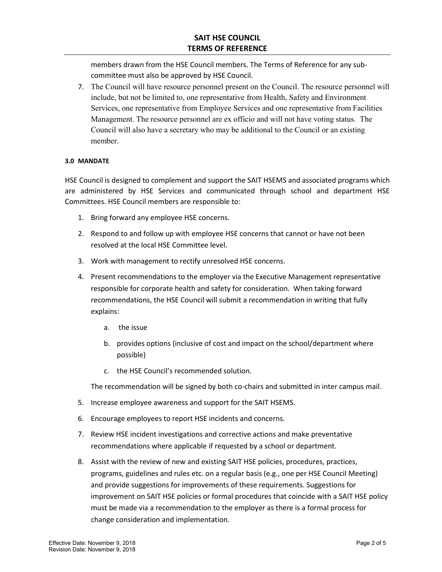members drawn from the HSE Council members. The Terms of Reference for any subcommittee must also be approved by HSE Council.

7. The Council will have resource personnel present on the Council. The resource personnel will include, but not be limited to, one representative from Health, Safety and Environment Services, one representative from Employee Services and one representative from Facilities Management. The resource personnel are ex officio and will not have voting status. The Council will also have a secretary who may be additional to the Council or an existing member.

# **3.0 MANDATE**

HSE Council is designed to complement and support the SAIT HSEMS and associated programs which are administered by HSE Services and communicated through school and department HSE Committees. HSE Council members are responsible to:

- 1. Bring forward any employee HSE concerns.
- 2. Respond to and follow up with employee HSE concerns that cannot or have not been resolved at the local HSE Committee level.
- 3. Work with management to rectify unresolved HSE concerns.
- 4. Present recommendations to the employer via the Executive Management representative responsible for corporate health and safety for consideration. When taking forward recommendations, the HSE Council will submit a recommendation in writing that fully explains:
	- a. the issue
	- b. provides options (inclusive of cost and impact on the school/department where possible)
	- c. the HSE Council's recommended solution.

The recommendation will be signed by both co-chairs and submitted in inter campus mail.

- 5. Increase employee awareness and support for the SAIT HSEMS.
- 6. Encourage employees to report HSE incidents and concerns.
- 7. Review HSE incident investigations and corrective actions and make preventative recommendations where applicable if requested by a school or department.
- 8. Assist with the review of new and existing SAIT HSE policies, procedures, practices, programs, guidelines and rules etc. on a regular basis (e.g., one per HSE Council Meeting) and provide suggestions for improvements of these requirements. Suggestions for improvement on SAIT HSE policies or formal procedures that coincide with a SAIT HSE policy must be made via a recommendation to the employer as there is a formal process for change consideration and implementation.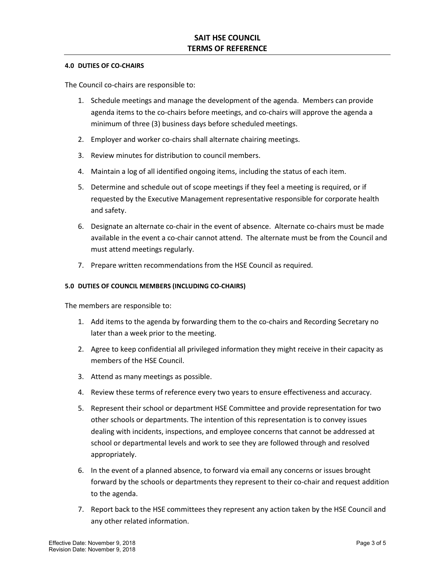#### **4.0 DUTIES OF CO-CHAIRS**

The Council co-chairs are responsible to:

- 1. Schedule meetings and manage the development of the agenda. Members can provide agenda items to the co-chairs before meetings, and co-chairs will approve the agenda a minimum of three (3) business days before scheduled meetings.
- 2. Employer and worker co-chairs shall alternate chairing meetings.
- 3. Review minutes for distribution to council members.
- 4. Maintain a log of all identified ongoing items, including the status of each item.
- 5. Determine and schedule out of scope meetings if they feel a meeting is required, or if requested by the Executive Management representative responsible for corporate health and safety.
- 6. Designate an alternate co-chair in the event of absence. Alternate co-chairs must be made available in the event a co-chair cannot attend. The alternate must be from the Council and must attend meetings regularly.
- 7. Prepare written recommendations from the HSE Council as required.

# **5.0 DUTIES OF COUNCIL MEMBERS (INCLUDING CO-CHAIRS)**

The members are responsible to:

- 1. Add items to the agenda by forwarding them to the co-chairs and Recording Secretary no later than a week prior to the meeting.
- 2. Agree to keep confidential all privileged information they might receive in their capacity as members of the HSE Council.
- 3. Attend as many meetings as possible.
- 4. Review these terms of reference every two years to ensure effectiveness and accuracy.
- 5. Represent their school or department HSE Committee and provide representation for two other schools or departments. The intention of this representation is to convey issues dealing with incidents, inspections, and employee concerns that cannot be addressed at school or departmental levels and work to see they are followed through and resolved appropriately.
- 6. In the event of a planned absence, to forward via email any concerns or issues brought forward by the schools or departments they represent to their co-chair and request addition to the agenda.
- 7. Report back to the HSE committees they represent any action taken by the HSE Council and any other related information.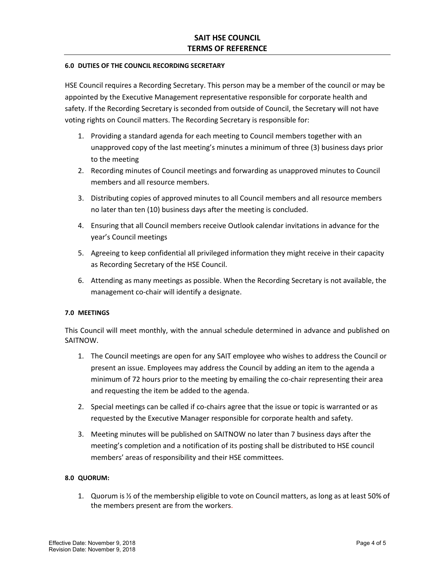#### **6.0 DUTIES OF THE COUNCIL RECORDING SECRETARY**

HSE Council requires a Recording Secretary. This person may be a member of the council or may be appointed by the Executive Management representative responsible for corporate health and safety. If the Recording Secretary is seconded from outside of Council, the Secretary will not have voting rights on Council matters. The Recording Secretary is responsible for:

- 1. Providing a standard agenda for each meeting to Council members together with an unapproved copy of the last meeting's minutes a minimum of three (3) business days prior to the meeting
- 2. Recording minutes of Council meetings and forwarding as unapproved minutes to Council members and all resource members.
- 3. Distributing copies of approved minutes to all Council members and all resource members no later than ten (10) business days after the meeting is concluded.
- 4. Ensuring that all Council members receive Outlook calendar invitations in advance for the year's Council meetings
- 5. Agreeing to keep confidential all privileged information they might receive in their capacity as Recording Secretary of the HSE Council.
- 6. Attending as many meetings as possible. When the Recording Secretary is not available, the management co-chair will identify a designate.

## **7.0 MEETINGS**

This Council will meet monthly, with the annual schedule determined in advance and published on SAITNOW.

- 1. The Council meetings are open for any SAIT employee who wishes to address the Council or present an issue. Employees may address the Council by adding an item to the agenda a minimum of 72 hours prior to the meeting by emailing the co-chair representing their area and requesting the item be added to the agenda.
- 2. Special meetings can be called if co-chairs agree that the issue or topic is warranted or as requested by the Executive Manager responsible for corporate health and safety.
- 3. Meeting minutes will be published on SAITNOW no later than 7 business days after the meeting's completion and a notification of its posting shall be distributed to HSE council members' areas of responsibility and their HSE committees.

#### **8.0 QUORUM:**

1. Quorum is  $\frac{1}{2}$  of the membership eligible to vote on Council matters, as long as at least 50% of the members present are from the workers.